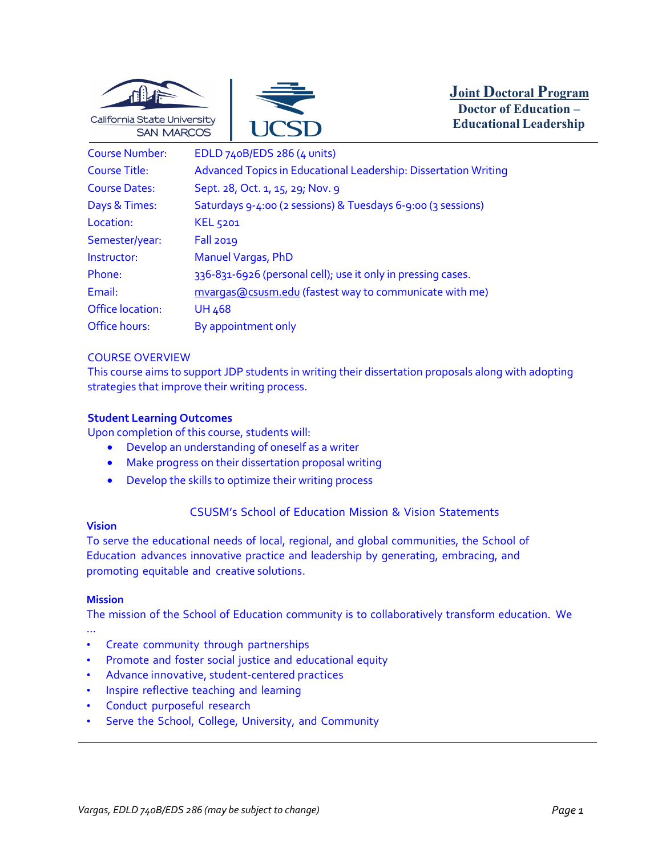



**Joint Doctoral Program Doctor of Education – Educational Leadership**

| <b>Course Number:</b>   | EDLD 740B/EDS 286 (4 units)                                     |
|-------------------------|-----------------------------------------------------------------|
| <b>Course Title:</b>    | Advanced Topics in Educational Leadership: Dissertation Writing |
| <b>Course Dates:</b>    | Sept. 28, Oct. 1, 15, 29; Nov. 9                                |
| Days & Times:           | Saturdays 9-4:00 (2 sessions) & Tuesdays 6-9:00 (3 sessions)    |
| Location:               | <b>KEL 5201</b>                                                 |
| Semester/year:          | <b>Fall 2019</b>                                                |
| Instructor:             | <b>Manuel Vargas, PhD</b>                                       |
| Phone:                  | 336-831-6926 (personal cell); use it only in pressing cases.    |
| Email:                  | mvargas@csusm.edu (fastest way to communicate with me)          |
| <b>Office location:</b> | <b>UH 468</b>                                                   |
| Office hours:           | By appointment only                                             |

## COURSE OVERVIEW

This course aims to support JDP students in writing their dissertation proposals along with adopting strategies that improve their writing process.

#### **Student Learning Outcomes**

Upon completion of this course, students will:

- Develop an understanding of oneself as a writer
- Make progress on their dissertation proposal writing
- Develop the skills to optimize their writing process

# CSUSM's School of Education Mission & Vision Statements

## **Vision**

To serve the educational needs of local, regional, and global communities, the School of Education advances innovative practice and leadership by generating, embracing, and promoting equitable and creative solutions.

#### **Mission**

The mission of the School of Education community is to collaboratively transform education. We …

- Create community through partnerships
- Promote and foster social justice and educational equity
- Advance innovative, student-centered practices
- Inspire reflective teaching and learning
- Conduct purposeful research
- Serve the School, College, University, and Community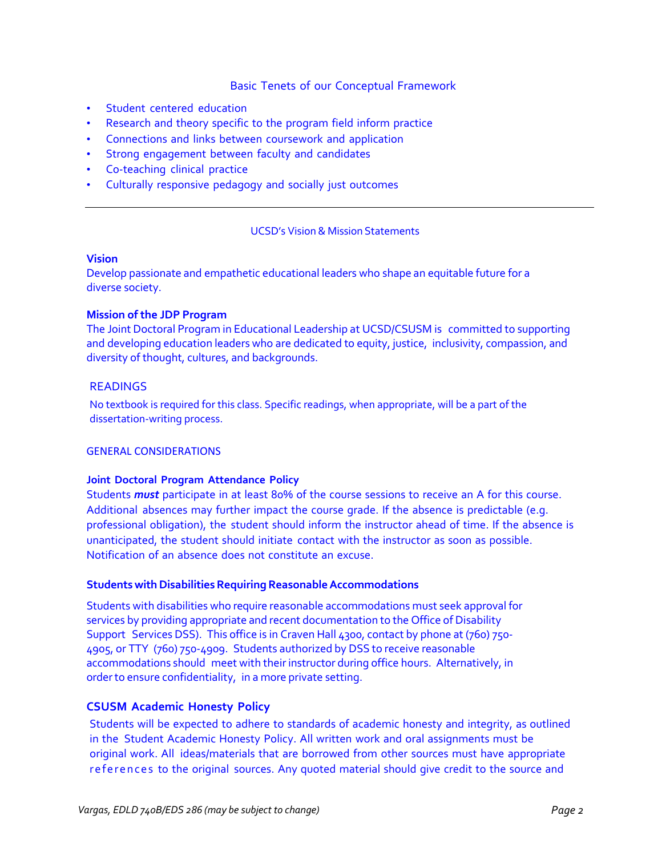## Basic Tenets of our Conceptual Framework

- Student centered education
- Research and theory specific to the program field inform practice
- Connections and links between coursework and application
- Strong engagement between faculty and candidates
- Co-teaching clinical practice
- Culturally responsive pedagogy and socially just outcomes

#### UCSD's Vision& Mission Statements

#### **Vision**

Develop passionate and empathetic educational leaders who shape an equitable future for a diverse society.

## **Mission of the JDP Program**

The Joint Doctoral Program in Educational Leadership at UCSD/CSUSM is committed to supporting and developing education leaders who are dedicated to equity, justice, inclusivity, compassion, and diversity of thought, cultures, and backgrounds.

## READINGS

No textbook is required for this class. Specific readings, when appropriate, will be a part of the dissertation-writing process.

#### GENERAL CONSIDERATIONS

#### **Joint Doctoral Program Attendance Policy**

Students *must* participate in at least 80% of the course sessions to receive an A for this course. Additional absences may further impact the course grade. If the absence is predictable (e.g. professional obligation), the student should inform the instructor ahead of time. If the absence is unanticipated, the student should initiate contact with the instructor as soon as possible. Notification of an absence does not constitute an excuse.

#### **Students with Disabilities Requiring Reasonable Accommodations**

Students with disabilities who require reasonable accommodations must seek approval for services by providing appropriate and recent documentation to the Office of Disability Support Services DSS). This office is in Craven Hall 4300, contact by phone at (760) 750- 4905, or TTY (760) 750-4909. Students authorized by DSS to receive reasonable accommodations should meet with their instructor during office hours. Alternatively, in order to ensure confidentiality, in a more private setting.

# **CSUSM Academic Honesty Policy**

Students will be expected to adhere to standards of academic honesty and integrity, as outlined in the Student Academic Honesty Policy. All written work and oral assignments must be original work. All ideas/materials that are borrowed from other sources must have appropriate references to the original sources. Any quoted material should give credit to the source and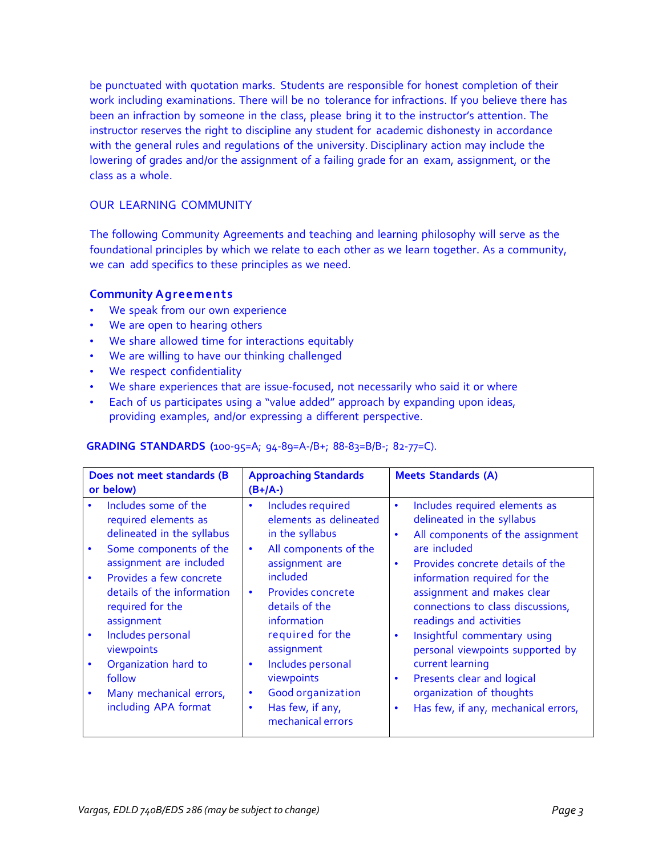be punctuated with quotation marks. Students are responsible for honest completion of their work including examinations. There will be no tolerance for infractions. If you believe there has been an infraction by someone in the class, please bring it to the instructor's attention. The instructor reserves the right to discipline any student for academic dishonesty in accordance with the general rules and regulations of the university. Disciplinary action may include the lowering of grades and/or the assignment of a failing grade for an exam, assignment, or the class as a whole.

# OUR LEARNING COMMUNITY

The following Community Agreements and teaching and learning philosophy will serve as the foundational principles by which we relate to each other as we learn together. As a community, we can add specifics to these principles as we need.

## **Community Agreements**

- We speak from our own experience
- We are open to hearing others
- We share allowed time for interactions equitably
- We are willing to have our thinking challenged
- We respect confidentiality
- We share experiences that are issue-focused, not necessarily who said it or where
- Each of us participates using a "value added" approach by expanding upon ideas, providing examples, and/or expressing a different perspective.

#### **GRADING STANDARDS (**100-95=A; 94-89=A-/B+; 88-83=B/B-; 82-77=C).

| Does not meet standards (B<br>or below)                                                                                                                                                                                                                                                                                                                         | <b>Approaching Standards</b><br>$(B+/A-)$                                                                                                                                                                                                                                                                                                                                                                  | <b>Meets Standards (A)</b>                                                                                                                                                                                                                                                                                                                                                                                                                                                                                                                              |  |
|-----------------------------------------------------------------------------------------------------------------------------------------------------------------------------------------------------------------------------------------------------------------------------------------------------------------------------------------------------------------|------------------------------------------------------------------------------------------------------------------------------------------------------------------------------------------------------------------------------------------------------------------------------------------------------------------------------------------------------------------------------------------------------------|---------------------------------------------------------------------------------------------------------------------------------------------------------------------------------------------------------------------------------------------------------------------------------------------------------------------------------------------------------------------------------------------------------------------------------------------------------------------------------------------------------------------------------------------------------|--|
| Includes some of the<br>required elements as<br>delineated in the syllabus<br>Some components of the<br>$\bullet$<br>assignment are included<br>Provides a few concrete<br>details of the information<br>required for the<br>assignment<br>Includes personal<br>viewpoints<br>Organization hard to<br>follow<br>Many mechanical errors,<br>including APA format | Includes required<br>$\bullet$<br>elements as delineated<br>in the syllabus<br>All components of the<br>$\bullet$<br>assignment are<br>included<br><b>Provides concrete</b><br>$\bullet$<br>details of the<br>information<br>required for the<br>assignment<br>Includes personal<br>$\bullet$<br>viewpoints<br><b>Good organization</b><br>$\bullet$<br>Has few, if any,<br>$\bullet$<br>mechanical errors | Includes required elements as<br>$\bullet$<br>delineated in the syllabus<br>All components of the assignment<br>$\bullet$<br>are included<br>Provides concrete details of the<br>$\bullet$<br>information required for the<br>assignment and makes clear<br>connections to class discussions,<br>readings and activities<br>Insightful commentary using<br>$\bullet$<br>personal viewpoints supported by<br>current learning<br>Presents clear and logical<br>$\bullet$<br>organization of thoughts<br>Has few, if any, mechanical errors,<br>$\bullet$ |  |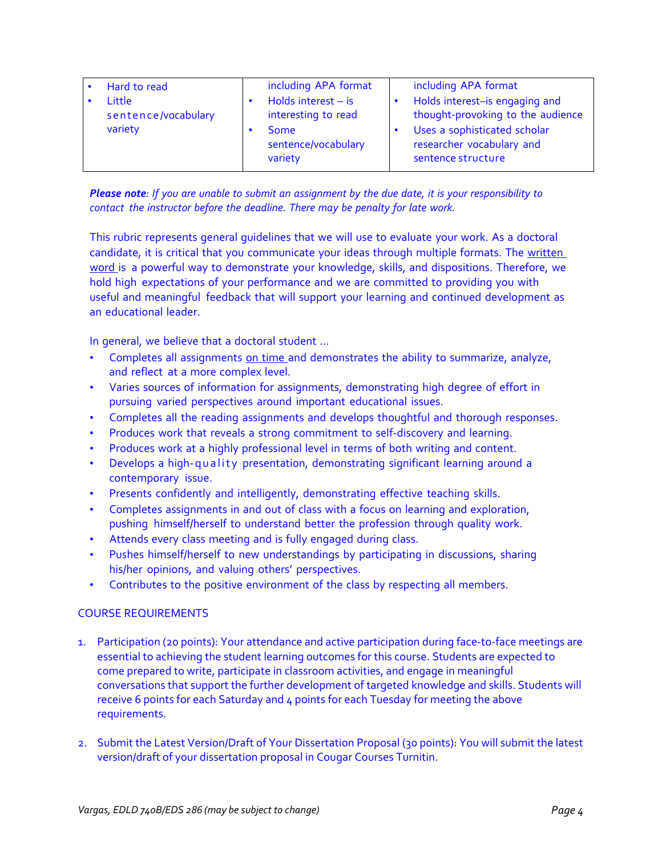| Hard to read<br>Little<br>sentence/vocabulary | including APA format<br>Holds interest $-$ is<br>interesting to read | including APA format<br>Holds interest-is engaging and<br>thought-provoking to the audience |
|-----------------------------------------------|----------------------------------------------------------------------|---------------------------------------------------------------------------------------------|
| variety                                       | Some<br>sentence/vocabulary<br>variety                               | Uses a sophisticated scholar<br>researcher vocabulary and<br>sentence structure             |

Please note: If you are unable to submit an assignment by the due date, it is your responsibility to *contact the instructor before the deadline. There may be penalty for late work.*

This rubric represents general guidelines that we will use to evaluate your work. As a doctoral candidate, it is critical that you communicate your ideas through multiple formats. The written word is a powerful way to demonstrate your knowledge, skills, and dispositions. Therefore, we hold high expectations of your performance and we are committed to providing you with useful and meaningful feedback that will support your learning and continued development as an educational leader.

In general, we believe that a doctoral student …

- Completes all assignments on time and demonstrates the ability to summarize, analyze, and reflect at a more complex level.
- Varies sources of information for assignments, demonstrating high degree of effort in pursuing varied perspectives around important educational issues.
- Completes all the reading assignments and develops thoughtful and thorough responses.
- Produces work that reveals a strong commitment to self-discovery and learning.
- Produces work at a highly professional level in terms of both writing and content.
- Develops a high-quality presentation, demonstrating significant learning around a contemporary issue.
- Presents confidently and intelligently, demonstrating effective teaching skills.
- Completes assignments in and out of class with a focus on learning and exploration, pushing himself/herself to understand better the profession through quality work.
- Attends every class meeting and is fully engaged during class.
- Pushes himself/herself to new understandings by participating in discussions, sharing his/her opinions, and valuing others' perspectives.
- Contributes to the positive environment of the class by respecting all members.

#### COURSE REQUIREMENTS

- 1. Participation (20 points): Your attendance and active participation during face-to-face meetings are essential to achieving the student learning outcomes for this course. Students are expected to come prepared to write, participate in classroom activities, and engage in meaningful conversations that support the further development of targeted knowledge and skills. Students will receive 6 points for each Saturday and 4 points for each Tuesday for meeting the above requirements.
- 2. Submit the Latest Version/Draft of Your Dissertation Proposal (30 points): You will submit the latest version/draft of your dissertation proposal in Cougar Courses Turnitin.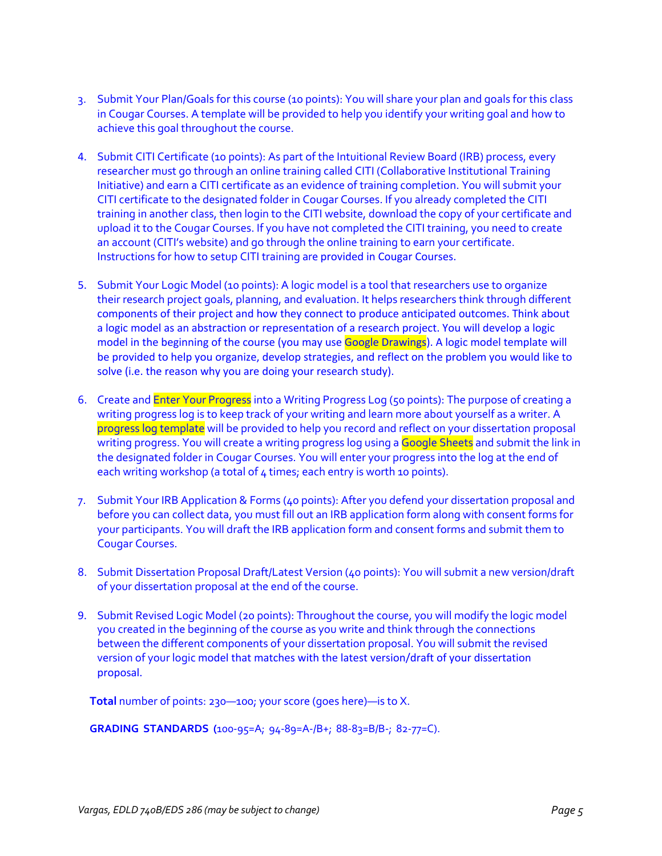- 3. Submit Your Plan/Goals for this course (10 points): You will share your plan and goals for this class in Cougar Courses. A template will be provided to help you identify your writing goal and how to achieve this goal throughout the course.
- 4. Submit CITI Certificate (10 points): As part of the Intuitional Review Board (IRB) process, every researcher must go through an online training called CITI (Collaborative Institutional Training Initiative) and earn a CITI certificate as an evidence of training completion. You will submit your CITI certificate to the designated folder in Cougar Courses. If you already completed the CITI training in another class, then login to the CITI website, download the copy of your certificate and upload it to the Cougar Courses. If you have not completed the CITI training, you need to create an account (CITI's website) and go through the online training to earn your certificate. Instructions for how to setup CITI training are provided in Cougar Courses.
- 5. Submit Your Logic Model (10 points): A logic model is a tool that researchers use to organize their research project goals, planning, and evaluation. It helps researchers think through different components of their project and how they connect to produce anticipated outcomes. Think about a logic model as an abstraction or representation of a research project. You will develop a logic model in the beginning of the course (you may use Google Drawings). A logic model template will be provided to help you organize, develop strategies, and reflect on the problem you would like to solve (i.e. the reason why you are doing your research study).
- 6. Create and Enter Your Progress into a Writing Progress Log (50 points): The purpose of creating a writing progress log is to keep track of your writing and learn more about yourself as a writer. A progress log template will be provided to help you record and reflect on your dissertation proposal writing progress. You will create a writing progress log using a Google Sheets and submit the link in the designated folder in Cougar Courses. You will enter your progress into the log at the end of each writing workshop (a total of  $4$  times; each entry is worth 10 points).
- 7. Submit Your IRB Application & Forms (40 points): After you defend your dissertation proposal and before you can collect data, you must fill out an IRB application form along with consent forms for your participants. You will draft the IRB application form and consent forms and submit them to Cougar Courses.
- 8. Submit Dissertation Proposal Draft/Latest Version (40 points): You will submit a new version/draft of your dissertation proposal at the end of the course.
- 9. Submit Revised Logic Model (20 points): Throughout the course, you will modify the logic model you created in the beginning of the course as you write and think through the connections between the different components of your dissertation proposal. You will submit the revised version of your logic model that matches with the latest version/draft of your dissertation proposal.

**Total** number of points: 230—100; your score (goes here)—is to X.

**GRADING STANDARDS (**100-95=A; 94-89=A-/B+; 88-83=B/B-; 82-77=C).